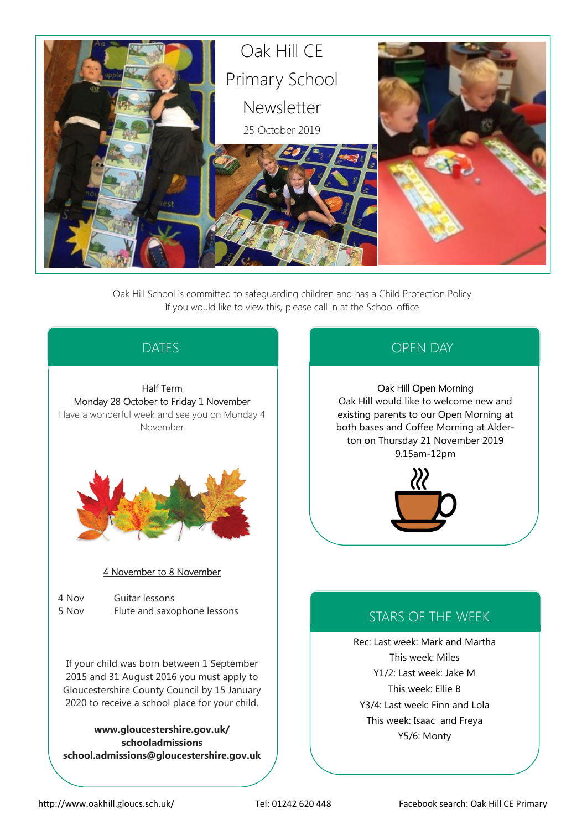

Oak Hill School is committed to safeguarding children and has a Child Protection Policy. If you would like to view this, please call in at the School office.

# DATES

### Half Term Monday 28 October to Friday 1 November

Have a wonderful week and see you on Monday 4 November



### 4 November to 8 November

4 Nov Guitar lessons 5 Nov Flute and saxophone lessons

If your child was born between 1 September 2015 and 31 August 2016 you must apply to Gloucestershire County Council by 15 January 2020 to receive a school place for your child.

**www.gloucestershire.gov.uk/ schooladmissions school.admissions@gloucestershire.gov.uk**

# OPEN DAY

### Oak Hill Open Morning

Oak Hill would like to welcome new and existing parents to our Open Morning at both bases and Coffee Morning at Alderton on Thursday 21 November 2019 9.15am-12pm



# STARS OF THE WEEK

Rec: Last week: Mark and Martha This week: Miles Y1/2: Last week: Jake M This week: Ellie B Y3/4: Last week: Finn and Lola This week: Isaac and Freya Y5/6: Monty